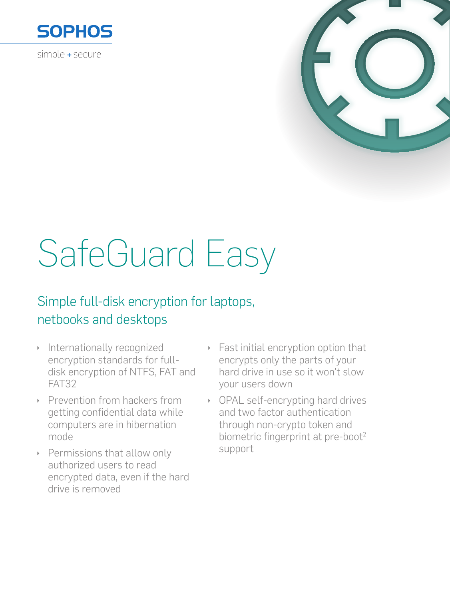

simple + secure



# SafeGuard Easy

# Simple full-disk encryption for laptops, netbooks and desktops

- Internationally recognized encryption standards for fulldisk encryption of NTFS, FAT and FAT32
- Prevention from hackers from getting confidential data while computers are in hibernation mode
- ▶ Permissions that allow only authorized users to read encrypted data, even if the hard drive is removed
- Fast initial encryption option that  $\bar{\mathbf{r}}$ encrypts only the parts of your hard drive in use so it won't slow your users down
- OPAL self-encrypting hard drives and two factor authentication through non-crypto token and biometric fingerprint at pre-boot<sup>2</sup> support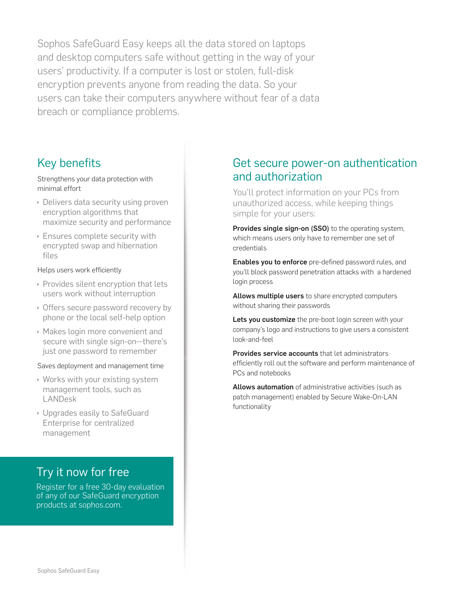Sophos SafeGuard Easy keeps all the data stored on laptops and desktop computers safe without getting in the way of your users' productivity. If a computer is lost or stolen, full-disk encryption prevents anyone from reading the data. So your users can take their computers anywhere without fear of a data breach or compliance problems.

## Key benefits

#### Strengthens your data protection with minimal effort

- $\rightarrow$  Delivers data security using proven encryption algorithms that maximize security and performance
- $\rightarrow$  Ensures complete security with encrypted swap and hibernation files

## Helps users work efficiently

- $\rightarrow$  Provides silent encryption that lets users work without interruption
- Offers secure password recovery by phone or the local self-help option
- **Makes login more convenient and** secure with single sign-on—there's just one password to remember

## Saves deployment and management time

- $\cdot$  Works with your existing system management tools, such as LANDesk
- **I** Upgrades easily to SafeGuard Enterprise for centralized management

# Try it now for free

Register for a free 30-day evaluation of any of our SafeGuard encryption products at sophos.com.

## Get secure power-on authentication and authorization

You'll protect information on your PCs from unauthorized access, while keeping things simple for your users:

Provides single sign-on (SSO) to the operating system, which means users only have to remember one set of credentials

Enables you to enforce pre-defined password rules, and you'll block password penetration attacks with a hardened login process

Allows multiple users to share encrypted computers without sharing their passwords

Lets you customize the pre-boot login screen with your company's logo and instructions to give users a consistent look-and-feel

Provides service accounts that let administrators efficiently roll out the software and perform maintenance of PCs and notebooks

Allows automation of administrative activities (such as patch management) enabled by Secure Wake-On-LAN functionality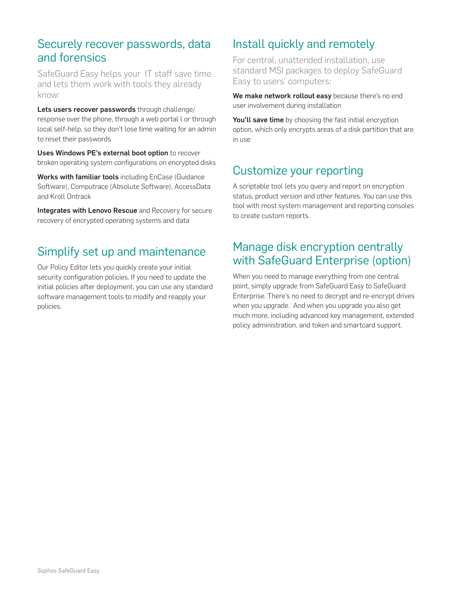## Securely recover passwords, data and forensics

SafeGuard Easy helps your IT staff save time and lets them work with tools they already know:

Lets users recover passwords through challenge/ response over the phone, through a web portal l or through local self-help, so they don't lose time waiting for an admin to reset their passwords

Uses Windows PE's external boot option to recover broken operating system configurations on encrypted disks

Works with familiar tools including EnCase (Guidance Software), Computrace (Absolute Software), AccessData and Kroll Ontrack

Integrates with Lenovo Rescue and Recovery for secure recovery of encrypted operating systems and data

# Simplify set up and maintenance

Our Policy Editor lets you quickly create your initial security configuration policies. If you need to update the initial policies after deployment, you can use any standard software management tools to modify and reapply your policies.

# Install quickly and remotely

For central, unattended installation, use standard MSI packages to deploy SafeGuard Easy to users' computers:

We make network rollout easy because there's no end user involvement during installation

You'll save time by choosing the fast initial encryption option, which only encrypts areas of a disk partition that are in use

# Customize your reporting

A scriptable tool lets you query and report on encryption status, product version and other features. You can use this tool with most system management and reporting consoles to create custom reports.

## Manage disk encryption centrally with SafeGuard Enterprise (option)

When you need to manage everything from one central point, simply upgrade from SafeGuard Easy to SafeGuard Enterprise. There's no need to decrypt and re-encrypt drives when you upgrade. And when you upgrade you also get much more, including advanced key management, extended policy administration, and token and smartcard support.